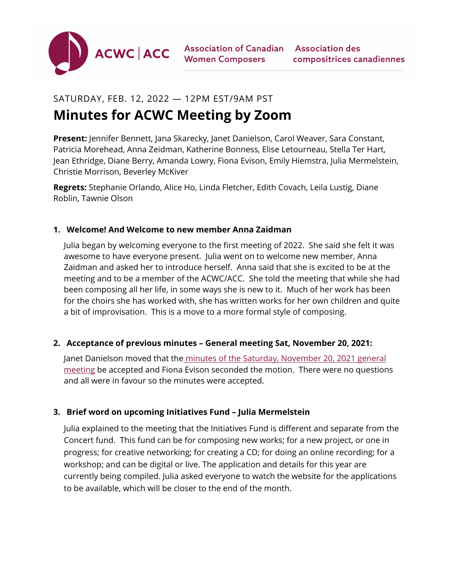

# SATURDAY, FEB. 12, 2022 — 12PM EST/9AM PST

# **Minutes for ACWC Meeting by Zoom**

**Present:** Jennifer Bennett, Jana Skarecky, Janet Danielson, Carol Weaver, Sara Constant, Patricia Morehead, Anna Zeidman, Katherine Bonness, Elise Letourneau, Stella Ter Hart, Jean Ethridge, Diane Berry, Amanda Lowry, Fiona Evison, Emily Hiemstra, Julia Mermelstein, Christie Morrison, Beverley McKiver

**Regrets:** Stephanie Orlando, Alice Ho, Linda Fletcher, Edith Covach, Leila Lustig, Diane Roblin, Tawnie Olson

#### **1. Welcome! And Welcome to new member Anna Zaidman**

Julia began by welcoming everyone to the first meeting of 2022. She said she felt it was awesome to have everyone present. Julia went on to welcome new member, Anna Zaidman and asked her to introduce herself. Anna said that she is excited to be at the meeting and to be a member of the ACWC/ACC. She told the meeting that while she had been composing all her life, in some ways she is new to it. Much of her work has been for the choirs she has worked with, she has written works for her own children and quite a bit of improvisation. This is a move to a more formal style of composing.

## **2. Acceptance of previous minutes – General meeting Sat, November 20, 2021:**

Janet Danielson moved that th[e minutes of the Saturday, November 20, 2021 general](https://acwc.ca/wp-content/uploads/2021/11/ACWC-Minutes-Nov.20-2021.pdf)  [meeting](https://acwc.ca/wp-content/uploads/2021/11/ACWC-Minutes-Nov.20-2021.pdf) be accepted and Fiona Evison seconded the motion. There were no questions and all were in favour so the minutes were accepted.

## **3. Brief word on upcoming Initiatives Fund – Julia Mermelstein**

Julia explained to the meeting that the Initiatives Fund is different and separate from the Concert fund. This fund can be for composing new works; for a new project, or one in progress; for creative networking; for creating a CD; for doing an online recording; for a workshop; and can be digital or live. The application and details for this year are currently being compiled. Julia asked everyone to watch the website for the applications to be available, which will be closer to the end of the month.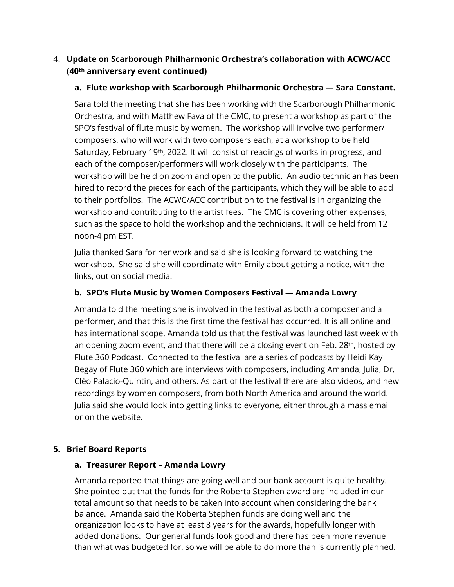# 4. **Update on Scarborough Philharmonic Orchestra's collaboration with ACWC/ACC (40th anniversary event continued)**

## **a. Flute workshop with Scarborough Philharmonic Orchestra — Sara Constant.**

Sara told the meeting that she has been working with the Scarborough Philharmonic Orchestra, and with Matthew Fava of the CMC, to present a workshop as part of the SPO's festival of flute music by women. The workshop will involve two performer/ composers, who will work with two composers each, at a workshop to be held Saturday, February 19th, 2022. It will consist of readings of works in progress, and each of the composer/performers will work closely with the participants. The workshop will be held on zoom and open to the public. An audio technician has been hired to record the pieces for each of the participants, which they will be able to add to their portfolios. The ACWC/ACC contribution to the festival is in organizing the workshop and contributing to the artist fees. The CMC is covering other expenses, such as the space to hold the workshop and the technicians. It will be held from 12 noon-4 pm EST.

Julia thanked Sara for her work and said she is looking forward to watching the workshop. She said she will coordinate with Emily about getting a notice, with the links, out on social media.

## **b. SPO's Flute Music by Women Composers Festival — Amanda Lowry**

Amanda told the meeting she is involved in the festival as both a composer and a performer, and that this is the first time the festival has occurred. It is all online and has international scope. Amanda told us that the festival was launched last week with an opening zoom event, and that there will be a closing event on Feb. 28<sup>th</sup>, hosted by Flute 360 Podcast. Connected to the festival are a series of podcasts by Heidi Kay Begay of Flute 360 which are interviews with composers, including Amanda, Julia, Dr. Cléo Palacio-Quintin, and others. As part of the festival there are also videos, and new recordings by women composers, from both North America and around the world. Julia said she would look into getting links to everyone, either through a mass email or on the website.

#### **5. Brief Board Reports**

#### **a. Treasurer Report – Amanda Lowry**

Amanda reported that things are going well and our bank account is quite healthy. She pointed out that the funds for the Roberta Stephen award are included in our total amount so that needs to be taken into account when considering the bank balance. Amanda said the Roberta Stephen funds are doing well and the organization looks to have at least 8 years for the awards, hopefully longer with added donations. Our general funds look good and there has been more revenue than what was budgeted for, so we will be able to do more than is currently planned.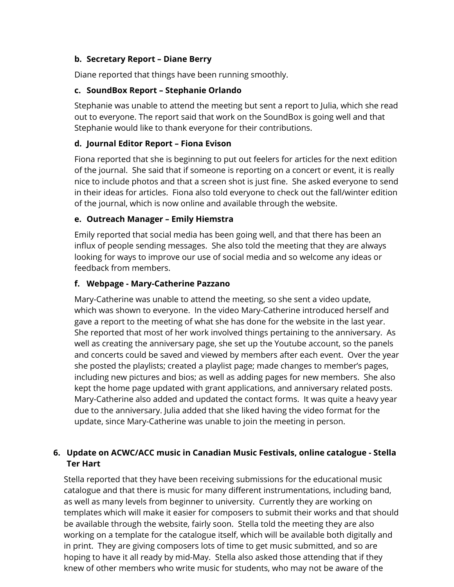## **b. Secretary Report – Diane Berry**

Diane reported that things have been running smoothly.

## **c. SoundBox Report – Stephanie Orlando**

Stephanie was unable to attend the meeting but sent a report to Julia, which she read out to everyone. The report said that work on the SoundBox is going well and that Stephanie would like to thank everyone for their contributions.

#### **d. Journal Editor Report – Fiona Evison**

Fiona reported that she is beginning to put out feelers for articles for the next edition of the journal. She said that if someone is reporting on a concert or event, it is really nice to include photos and that a screen shot is just fine. She asked everyone to send in their ideas for articles. Fiona also told everyone to check out the fall/winter edition of the journal, which is now online and available through the website.

#### **e. Outreach Manager – Emily Hiemstra**

Emily reported that social media has been going well, and that there has been an influx of people sending messages. She also told the meeting that they are always looking for ways to improve our use of social media and so welcome any ideas or feedback from members.

#### **f. Webpage - Mary-Catherine Pazzano**

Mary-Catherine was unable to attend the meeting, so she sent a video update, which was shown to everyone. In the video Mary-Catherine introduced herself and gave a report to the meeting of what she has done for the website in the last year. She reported that most of her work involved things pertaining to the anniversary. As well as creating the anniversary page, she set up the Youtube account, so the panels and concerts could be saved and viewed by members after each event. Over the year she posted the playlists; created a playlist page; made changes to member's pages, including new pictures and bios; as well as adding pages for new members. She also kept the home page updated with grant applications, and anniversary related posts. Mary-Catherine also added and updated the contact forms. It was quite a heavy year due to the anniversary. Julia added that she liked having the video format for the update, since Mary-Catherine was unable to join the meeting in person.

# **6. Update on ACWC/ACC music in Canadian Music Festivals, online catalogue - Stella Ter Hart**

Stella reported that they have been receiving submissions for the educational music catalogue and that there is music for many different instrumentations, including band, as well as many levels from beginner to university. Currently they are working on templates which will make it easier for composers to submit their works and that should be available through the website, fairly soon. Stella told the meeting they are also working on a template for the catalogue itself, which will be available both digitally and in print. They are giving composers lots of time to get music submitted, and so are hoping to have it all ready by mid-May. Stella also asked those attending that if they knew of other members who write music for students, who may not be aware of the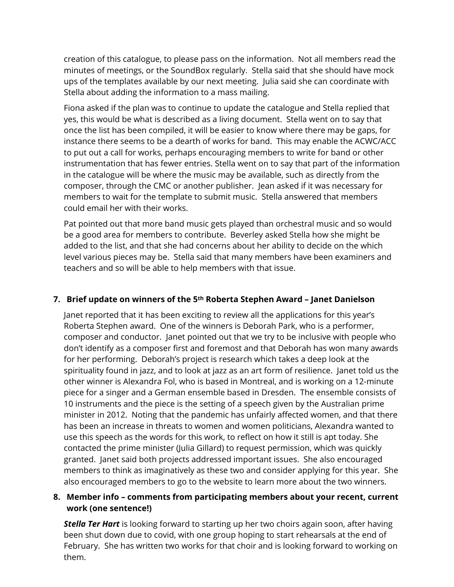creation of this catalogue, to please pass on the information. Not all members read the minutes of meetings, or the SoundBox regularly. Stella said that she should have mock ups of the templates available by our next meeting. Julia said she can coordinate with Stella about adding the information to a mass mailing.

Fiona asked if the plan was to continue to update the catalogue and Stella replied that yes, this would be what is described as a living document. Stella went on to say that once the list has been compiled, it will be easier to know where there may be gaps, for instance there seems to be a dearth of works for band. This may enable the ACWC/ACC to put out a call for works, perhaps encouraging members to write for band or other instrumentation that has fewer entries. Stella went on to say that part of the information in the catalogue will be where the music may be available, such as directly from the composer, through the CMC or another publisher. Jean asked if it was necessary for members to wait for the template to submit music. Stella answered that members could email her with their works.

Pat pointed out that more band music gets played than orchestral music and so would be a good area for members to contribute. Beverley asked Stella how she might be added to the list, and that she had concerns about her ability to decide on the which level various pieces may be. Stella said that many members have been examiners and teachers and so will be able to help members with that issue.

#### **7. Brief update on winners of the 5th Roberta Stephen Award – Janet Danielson**

Janet reported that it has been exciting to review all the applications for this year's Roberta Stephen award. One of the winners is Deborah Park, who is a performer, composer and conductor. Janet pointed out that we try to be inclusive with people who don't identify as a composer first and foremost and that Deborah has won many awards for her performing. Deborah's project is research which takes a deep look at the spirituality found in jazz, and to look at jazz as an art form of resilience. Janet told us the other winner is Alexandra Fol, who is based in Montreal, and is working on a 12-minute piece for a singer and a German ensemble based in Dresden. The ensemble consists of 10 instruments and the piece is the setting of a speech given by the Australian prime minister in 2012. Noting that the pandemic has unfairly affected women, and that there has been an increase in threats to women and women politicians, Alexandra wanted to use this speech as the words for this work, to reflect on how it still is apt today. She contacted the prime minister (Julia Gillard) to request permission, which was quickly granted. Janet said both projects addressed important issues. She also encouraged members to think as imaginatively as these two and consider applying for this year. She also encouraged members to go to the website to learn more about the two winners.

#### **8. Member info – comments from participating members about your recent, current work (one sentence!)**

**Stella Ter Hart** is looking forward to starting up her two choirs again soon, after having been shut down due to covid, with one group hoping to start rehearsals at the end of February. She has written two works for that choir and is looking forward to working on them.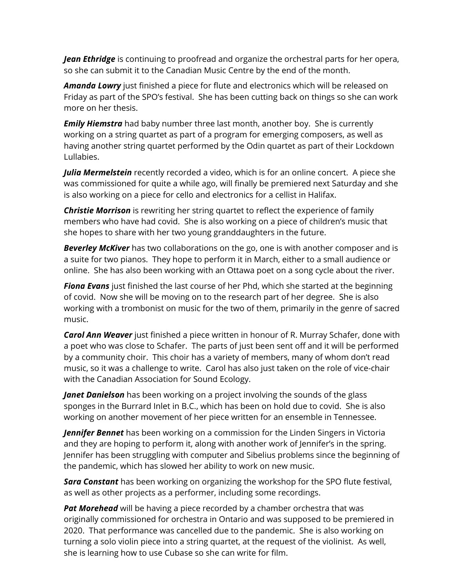*Jean Ethridge* is continuing to proofread and organize the orchestral parts for her opera, so she can submit it to the Canadian Music Centre by the end of the month.

*Amanda Lowry* just finished a piece for flute and electronics which will be released on Friday as part of the SPO's festival. She has been cutting back on things so she can work more on her thesis.

*Emily Hiemstra* had baby number three last month, another boy. She is currently working on a string quartet as part of a program for emerging composers, as well as having another string quartet performed by the Odin quartet as part of their Lockdown Lullabies.

*Julia Mermelstein* recently recorded a video, which is for an online concert. A piece she was commissioned for quite a while ago, will finally be premiered next Saturday and she is also working on a piece for cello and electronics for a cellist in Halifax.

**Christie Morrison** is rewriting her string quartet to reflect the experience of family members who have had covid. She is also working on a piece of children's music that she hopes to share with her two young granddaughters in the future.

*Beverley McKiver* has two collaborations on the go, one is with another composer and is a suite for two pianos. They hope to perform it in March, either to a small audience or online. She has also been working with an Ottawa poet on a song cycle about the river.

**Fiona Evans** just finished the last course of her Phd, which she started at the beginning of covid. Now she will be moving on to the research part of her degree. She is also working with a trombonist on music for the two of them, primarily in the genre of sacred music.

*Carol Ann Weaver* just finished a piece written in honour of R. Murray Schafer, done with a poet who was close to Schafer. The parts of just been sent off and it will be performed by a community choir. This choir has a variety of members, many of whom don't read music, so it was a challenge to write. Carol has also just taken on the role of vice-chair with the Canadian Association for Sound Ecology.

*Janet Danielson* has been working on a project involving the sounds of the glass sponges in the Burrard Inlet in B.C., which has been on hold due to covid. She is also working on another movement of her piece written for an ensemble in Tennessee.

*Jennifer Bennet* has been working on a commission for the Linden Singers in Victoria and they are hoping to perform it, along with another work of Jennifer's in the spring. Jennifer has been struggling with computer and Sibelius problems since the beginning of the pandemic, which has slowed her ability to work on new music.

*Sara Constant* has been working on organizing the workshop for the SPO flute festival, as well as other projects as a performer, including some recordings.

*Pat Morehead* will be having a piece recorded by a chamber orchestra that was originally commissioned for orchestra in Ontario and was supposed to be premiered in 2020. That performance was cancelled due to the pandemic. She is also working on turning a solo violin piece into a string quartet, at the request of the violinist. As well, she is learning how to use Cubase so she can write for film.